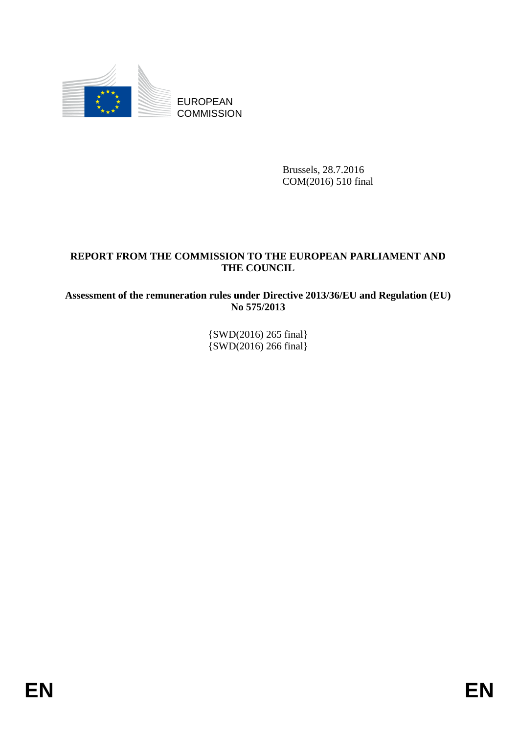

Brussels, 28.7.2016 COM(2016) 510 final

# **REPORT FROM THE COMMISSION TO THE EUROPEAN PARLIAMENT AND THE COUNCIL**

**Assessment of the remuneration rules under Directive 2013/36/EU and Regulation (EU) No 575/2013** 

> {SWD(2016) 265 final} {SWD(2016) 266 final}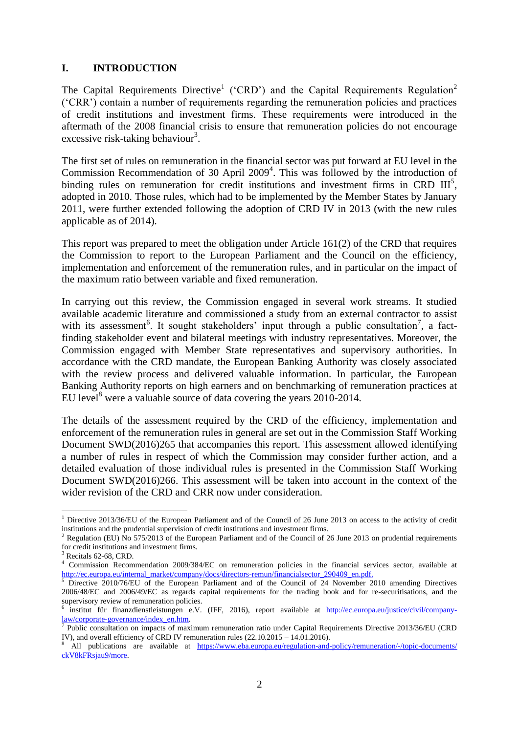### **I. INTRODUCTION**

The Capital Requirements Directive<sup>1</sup> ('CRD') and the Capital Requirements Regulation<sup>2</sup> ('CRR') contain a number of requirements regarding the remuneration policies and practices of credit institutions and investment firms. These requirements were introduced in the aftermath of the 2008 financial crisis to ensure that remuneration policies do not encourage excessive risk-taking behaviour<sup>3</sup>.

The first set of rules on remuneration in the financial sector was put forward at EU level in the Commission Recommendation of 30 April 2009<sup>4</sup>. This was followed by the introduction of binding rules on remuneration for credit institutions and investment firms in CRD  $III<sup>5</sup>$ , adopted in 2010. Those rules, which had to be implemented by the Member States by January 2011, were further extended following the adoption of CRD IV in 2013 (with the new rules applicable as of 2014).

This report was prepared to meet the obligation under Article 161(2) of the CRD that requires the Commission to report to the European Parliament and the Council on the efficiency, implementation and enforcement of the remuneration rules, and in particular on the impact of the maximum ratio between variable and fixed remuneration.

In carrying out this review, the Commission engaged in several work streams. It studied available academic literature and commissioned a study from an external contractor to assist with its assessment<sup>6</sup>. It sought stakeholders' input through a public consultation<sup>7</sup>, a factfinding stakeholder event and bilateral meetings with industry representatives. Moreover, the Commission engaged with Member State representatives and supervisory authorities. In accordance with the CRD mandate, the European Banking Authority was closely associated with the review process and delivered valuable information. In particular, the European Banking Authority reports on high earners and on benchmarking of remuneration practices at EU level<sup>8</sup> were a valuable source of data covering the years  $2010-2014$ .

The details of the assessment required by the CRD of the efficiency, implementation and enforcement of the remuneration rules in general are set out in the Commission Staff Working Document SWD(2016)265 that accompanies this report. This assessment allowed identifying a number of rules in respect of which the Commission may consider further action, and a detailed evaluation of those individual rules is presented in the Commission Staff Working Document SWD(2016)266. This assessment will be taken into account in the context of the wider revision of the CRD and CRR now under consideration.

**.** 

<sup>&</sup>lt;sup>1</sup> Directive 2013/36/EU of the European Parliament and of the Council of 26 June 2013 on access to the activity of credit institutions and the prudential supervision of credit institutions and investment firms.

<sup>&</sup>lt;sup>2</sup> Regulation (EU) No 575/2013 of the European Parliament and of the Council of 26 June 2013 on prudential requirements for credit institutions and investment firms.

Recitals 62-68, CRD.

<sup>4</sup> Commission Recommendation 2009/384/EC on remuneration policies in the financial services sector, available at [http://ec.europa.eu/internal\\_market/company/docs/directors-remun/financialsector\\_290409\\_en.pdf.](http://ec.europa.eu/internal_market/company/docs/directors-remun/financialsector_290409_en.pdf)

<sup>5</sup> Directive 2010/76/EU of the European Parliament and of the Council of 24 November 2010 amending Directives 2006/48/EC and 2006/49/EC as regards capital requirements for the trading book and for re-securitisations, and the supervisory review of remuneration policies.

<sup>6</sup> institut für finanzdienstleistungen e.V. (IFF, 2016), report available at [http://ec.europa.eu/justice/civil/company](http://ec.europa.eu/justice/civil/company-law/corporate-governance/index_en.htm)law/corporate-governance/index\_en.htm.<br><sup>7</sup> Public consultation on impacts of maximum remuneration ratio under Capital Requirements Directive 2013/36/EU (CRD

IV), and overall efficiency of CRD IV remuneration rules (22.10.2015 – 14.01.2016).

All publications are available at https://www.eba.europa.eu/regulation-and-policy/remuneration/-/topic-documents/ [ckV8kFRsjau9/more.](https://www.eba.europa.eu/regulation-and-policy/remuneration/-/topic-documents/%20ckV8kFRsjau9/more)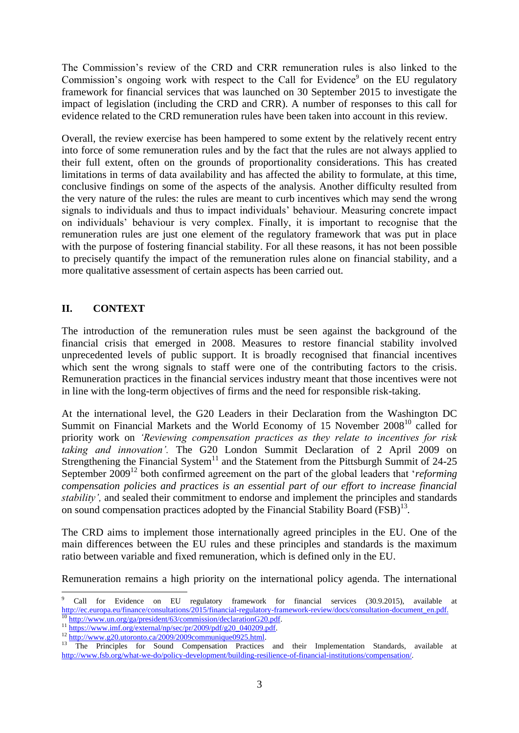The Commission's review of the CRD and CRR remuneration rules is also linked to the Commission's ongoing work with respect to the Call for Evidence<sup>9</sup> on the EU regulatory framework for financial services that was launched on 30 September 2015 to investigate the impact of legislation (including the CRD and CRR). A number of responses to this call for evidence related to the CRD remuneration rules have been taken into account in this review.

Overall, the review exercise has been hampered to some extent by the relatively recent entry into force of some remuneration rules and by the fact that the rules are not always applied to their full extent, often on the grounds of proportionality considerations. This has created limitations in terms of data availability and has affected the ability to formulate, at this time, conclusive findings on some of the aspects of the analysis. Another difficulty resulted from the very nature of the rules: the rules are meant to curb incentives which may send the wrong signals to individuals and thus to impact individuals' behaviour. Measuring concrete impact on individuals' behaviour is very complex. Finally, it is important to recognise that the remuneration rules are just one element of the regulatory framework that was put in place with the purpose of fostering financial stability. For all these reasons, it has not been possible to precisely quantify the impact of the remuneration rules alone on financial stability, and a more qualitative assessment of certain aspects has been carried out.

# **II. CONTEXT**

**.** 

The introduction of the remuneration rules must be seen against the background of the financial crisis that emerged in 2008. Measures to restore financial stability involved unprecedented levels of public support. It is broadly recognised that financial incentives which sent the wrong signals to staff were one of the contributing factors to the crisis. Remuneration practices in the financial services industry meant that those incentives were not in line with the long-term objectives of firms and the need for responsible risk-taking.

At the international level, the G20 Leaders in their Declaration from the Washington DC Summit on Financial Markets and the World Economy of 15 November  $2008<sup>10</sup>$  called for priority work on *'Reviewing compensation practices as they relate to incentives for risk taking and innovation'.* The G20 London Summit Declaration of 2 April 2009 on Strengthening the Financial System<sup>11</sup> and the Statement from the Pittsburgh Summit of  $24-25$ September 2009<sup>12</sup> both confirmed agreement on the part of the global leaders that '*reforming compensation policies and practices is an essential part of our effort to increase financial stability',* and sealed their commitment to endorse and implement the principles and standards on sound compensation practices adopted by the Financial Stability Board (FSB)<sup>13</sup> *.* 

The CRD aims to implement those internationally agreed principles in the EU. One of the main differences between the EU rules and these principles and standards is the maximum ratio between variable and fixed remuneration, which is defined only in the EU.

Remuneration remains a high priority on the international policy agenda. The international

<sup>9</sup> Call for Evidence on EU regulatory framework for financial services (30.9.2015), available at [http://ec.europa.eu/finance/consultations/2015/financial-regulatory-framework-review/docs/consultation-document\\_en.pdf.](http://ec.europa.eu/finance/consultations/2015/financial-regulatory-framework-review/docs/consultation-document_en.pdf) [http://www.un.org/ga/president/63/commission/declarationG20.pdf.](http://www.un.org/ga/president/63/commission/declarationG20.pdf)

<sup>&</sup>lt;sup>11</sup> [https://www.imf.org/external/np/sec/pr/2009/pdf/g20\\_040209.pdf.](https://www.imf.org/external/np/sec/pr/2009/pdf/g20_040209.pdf)

<sup>12</sup> [http://www.g20.utoronto.ca/2009/2009communique0925.html.](http://www.g20.utoronto.ca/2009/2009communique0925.html)

<sup>&</sup>lt;sup>13</sup> The Principles for Sound Compensation Practices and their Implementation Standards, available at [http://www.fsb.org/what-we-do/policy-development/building-resilience-of-financial-institutions/compensation/.](http://www.fsb.org/what-we-do/policy-development/building-resilience-of-financial-institutions/compensation/)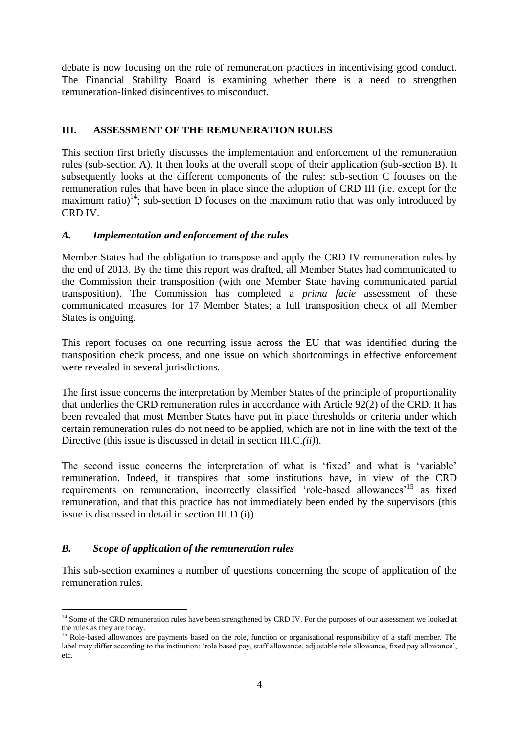debate is now focusing on the role of remuneration practices in incentivising good conduct. The Financial Stability Board is examining whether there is a need to strengthen remuneration-linked disincentives to misconduct.

# **III. ASSESSMENT OF THE REMUNERATION RULES**

This section first briefly discusses the implementation and enforcement of the remuneration rules (sub-section A). It then looks at the overall scope of their application (sub-section B). It subsequently looks at the different components of the rules: sub-section C focuses on the remuneration rules that have been in place since the adoption of CRD III (i.e. except for the maximum ratio)<sup>14</sup>; sub-section D focuses on the maximum ratio that was only introduced by CRD IV.

## *A. Implementation and enforcement of the rules*

Member States had the obligation to transpose and apply the CRD IV remuneration rules by the end of 2013. By the time this report was drafted, all Member States had communicated to the Commission their transposition (with one Member State having communicated partial transposition). The Commission has completed a *prima facie* assessment of these communicated measures for 17 Member States; a full transposition check of all Member States is ongoing.

This report focuses on one recurring issue across the EU that was identified during the transposition check process, and one issue on which shortcomings in effective enforcement were revealed in several jurisdictions.

The first issue concerns the interpretation by Member States of the principle of proportionality that underlies the CRD remuneration rules in accordance with Article 92(2) of the CRD. It has been revealed that most Member States have put in place thresholds or criteria under which certain remuneration rules do not need to be applied, which are not in line with the text of the Directive (this issue is discussed in detail in section III.C.*(ii)*).

The second issue concerns the interpretation of what is 'fixed' and what is 'variable' remuneration. Indeed, it transpires that some institutions have, in view of the CRD requirements on remuneration, incorrectly classified 'role-based allowances'<sup>15</sup> as fixed remuneration, and that this practice has not immediately been ended by the supervisors (this issue is discussed in detail in section III.D.(i)).

# *B. Scope of application of the remuneration rules*

This sub-section examines a number of questions concerning the scope of application of the remuneration rules.

**<sup>.</sup>**  $14$  Some of the CRD remuneration rules have been strengthened by CRD IV. For the purposes of our assessment we looked at the rules as they are today.

<sup>&</sup>lt;sup>15</sup> Role-based allowances are payments based on the role, function or organisational responsibility of a staff member. The label may differ according to the institution: 'role based pay, staff allowance, adjustable role allowance, fixed pay allowance', etc.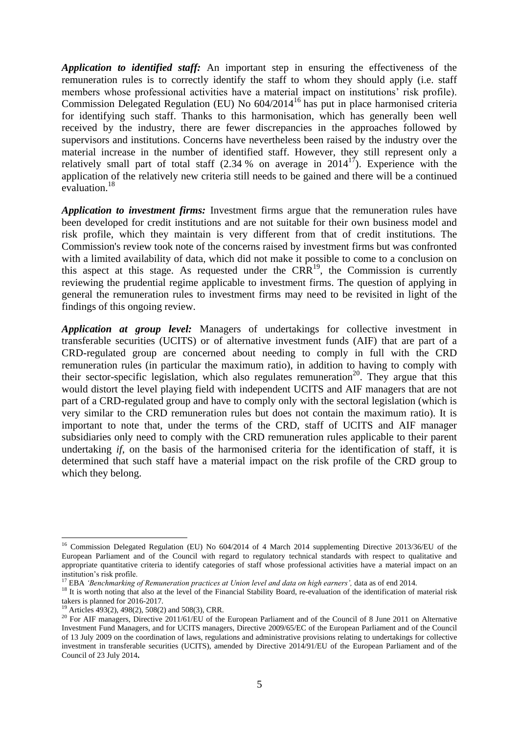*Application to identified staff:* An important step in ensuring the effectiveness of the remuneration rules is to correctly identify the staff to whom they should apply (i.e. staff members whose professional activities have a material impact on institutions' risk profile). Commission Delegated Regulation (EU) No 604/2014<sup>16</sup> has put in place harmonised criteria for identifying such staff. Thanks to this harmonisation, which has generally been well received by the industry, there are fewer discrepancies in the approaches followed by supervisors and institutions. Concerns have nevertheless been raised by the industry over the material increase in the number of identified staff. However, they still represent only a relatively small part of total staff  $(2.34\%$  on average in  $2014^{17}$ ). Experience with the application of the relatively new criteria still needs to be gained and there will be a continued evaluation<sup>18</sup>

*Application to investment firms:* Investment firms argue that the remuneration rules have been developed for credit institutions and are not suitable for their own business model and risk profile, which they maintain is very different from that of credit institutions. The Commission's review took note of the concerns raised by investment firms but was confronted with a limited availability of data, which did not make it possible to come to a conclusion on this aspect at this stage. As requested under the  $CRR^{19}$ , the Commission is currently reviewing the prudential regime applicable to investment firms. The question of applying in general the remuneration rules to investment firms may need to be revisited in light of the findings of this ongoing review.

*Application at group level:* Managers of undertakings for collective investment in transferable securities (UCITS) or of alternative investment funds (AIF) that are part of a CRD-regulated group are concerned about needing to comply in full with the CRD remuneration rules (in particular the maximum ratio), in addition to having to comply with their sector-specific legislation, which also regulates remuneration<sup>20</sup>. They argue that this would distort the level playing field with independent UCITS and AIF managers that are not part of a CRD-regulated group and have to comply only with the sectoral legislation (which is very similar to the CRD remuneration rules but does not contain the maximum ratio). It is important to note that, under the terms of the CRD, staff of UCITS and AIF manager subsidiaries only need to comply with the CRD remuneration rules applicable to their parent undertaking *if*, on the basis of the harmonised criteria for the identification of staff, it is determined that such staff have a material impact on the risk profile of the CRD group to which they belong.

**.** 

<sup>&</sup>lt;sup>16</sup> Commission Delegated Regulation (EU) No 604/2014 of 4 March 2014 supplementing Directive 2013/36/EU of the European Parliament and of the Council with regard to regulatory technical standards with respect to qualitative and appropriate quantitative criteria to identify categories of staff whose professional activities have a material impact on an institution's risk profile.

<sup>&</sup>lt;sup>17</sup> EBA *'Benchmarking of Remuneration practices at Union level and data on high earners'*, data as of end 2014.

<sup>&</sup>lt;sup>18</sup> It is worth noting that also at the level of the Financial Stability Board, re-evaluation of the identification of material risk takers is planned for 2016-2017.

<sup>19</sup> Articles 493(2), 498(2), 508(2) and 508(3), CRR.

<sup>20</sup> For AIF managers, Directive 2011/61/EU of the European Parliament and of the Council of 8 June 2011 on Alternative Investment Fund Managers, and for UCITS managers, Directive 2009/65/EC of the European Parliament and of the Council of 13 July 2009 on the coordination of laws, regulations and administrative provisions relating to undertakings for collective investment in transferable securities (UCITS), amended by Directive 2014/91/EU of the European Parliament and of the Council of 23 July 2014**.**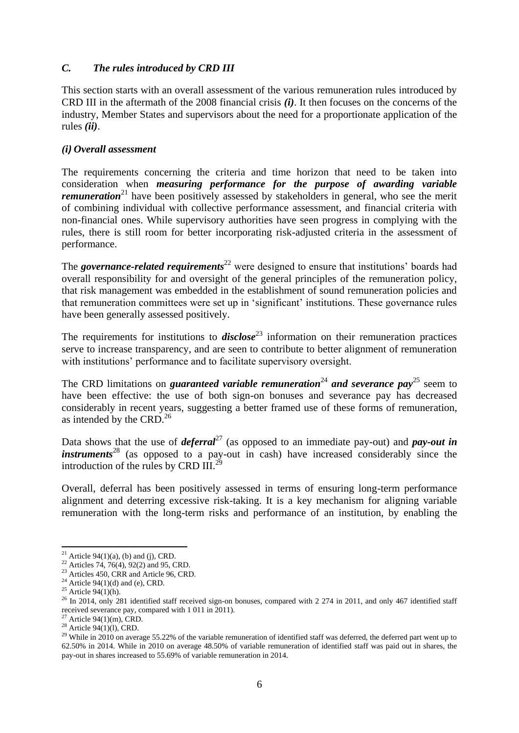## *C. The rules introduced by CRD III*

This section starts with an overall assessment of the various remuneration rules introduced by CRD III in the aftermath of the 2008 financial crisis *(i)*. It then focuses on the concerns of the industry, Member States and supervisors about the need for a proportionate application of the rules *(ii)*.

### *(i) Overall assessment*

The requirements concerning the criteria and time horizon that need to be taken into consideration when *measuring performance for the purpose of awarding variable remuneration*<sup>21</sup> have been positively assessed by stakeholders in general, who see the merit of combining individual with collective performance assessment, and financial criteria with non-financial ones. While supervisory authorities have seen progress in complying with the rules, there is still room for better incorporating risk-adjusted criteria in the assessment of performance.

The *governance-related requirements*<sup>22</sup> were designed to ensure that institutions' boards had overall responsibility for and oversight of the general principles of the remuneration policy, that risk management was embedded in the establishment of sound remuneration policies and that remuneration committees were set up in 'significant' institutions. These governance rules have been generally assessed positively.

The requirements for institutions to **disclose**<sup>23</sup> information on their remuneration practices serve to increase transparency, and are seen to contribute to better alignment of remuneration with institutions' performance and to facilitate supervisory oversight.

The CRD limitations on *guaranteed variable remuneration*<sup>24</sup> and *severance pay*<sup>25</sup> seem to have been effective: the use of both sign-on bonuses and severance pay has decreased considerably in recent years, suggesting a better framed use of these forms of remuneration, as intended by the CRD.<sup>26</sup>

Data shows that the use of *deferral*<sup>27</sup> (as opposed to an immediate pay-out) and *pay-out in instruments*<sup>28</sup> (as opposed to a pay-out in cash) have increased considerably since the introduction of the rules by CRD  $III.^{29}$ 

Overall, deferral has been positively assessed in terms of ensuring long-term performance alignment and deterring excessive risk-taking. It is a key mechanism for aligning variable remuneration with the long-term risks and performance of an institution, by enabling the

<sup>1</sup> <sup>21</sup> Article 94(1)(a), (b) and (j), CRD.

<sup>22</sup> Articles 74, 76(4), 92(2) and 95, CRD.

 $23$  Articles 450, CRR and Article 96, CRD.

<sup>&</sup>lt;sup>24</sup> Article 94(1)(d) and (e), CRD.

<sup>&</sup>lt;sup>25</sup> Article 94(1)(h).

 $26$  In 2014, only 281 identified staff received sign-on bonuses, compared with 2 274 in 2011, and only 467 identified staff received severance pay, compared with 1 011 in 2011).

Article  $94(1)(m)$ , CRD.

 $28$  Article 94(1)(l), CRD.

 $29$  While in 2010 on average 55.22% of the variable remuneration of identified staff was deferred, the deferred part went up to 62.50% in 2014. While in 2010 on average 48.50% of variable remuneration of identified staff was paid out in shares, the pay-out in shares increased to 55.69% of variable remuneration in 2014.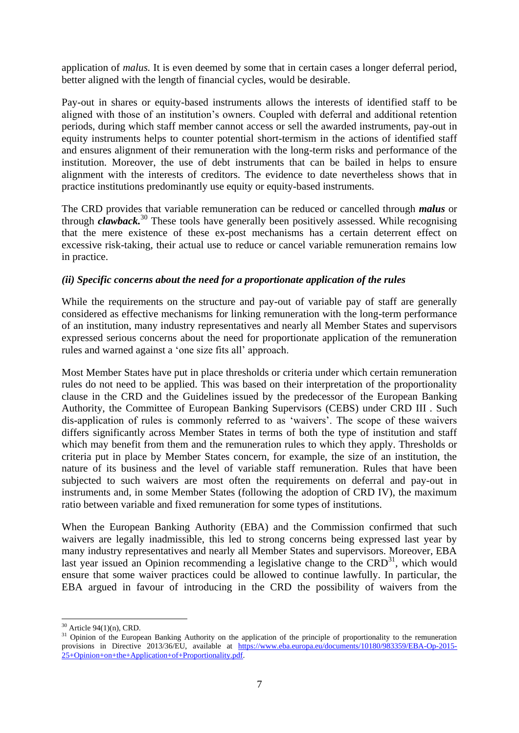application of *malus.* It is even deemed by some that in certain cases a longer deferral period, better aligned with the length of financial cycles, would be desirable.

Pay-out in shares or equity-based instruments allows the interests of identified staff to be aligned with those of an institution's owners. Coupled with deferral and additional retention periods, during which staff member cannot access or sell the awarded instruments, pay-out in equity instruments helps to counter potential short-termism in the actions of identified staff and ensures alignment of their remuneration with the long-term risks and performance of the institution. Moreover, the use of debt instruments that can be bailed in helps to ensure alignment with the interests of creditors. The evidence to date nevertheless shows that in practice institutions predominantly use equity or equity-based instruments.

The CRD provides that variable remuneration can be reduced or cancelled through *malus* or through *clawback.*<sup>30</sup> These tools have generally been positively assessed. While recognising that the mere existence of these ex-post mechanisms has a certain deterrent effect on excessive risk-taking, their actual use to reduce or cancel variable remuneration remains low in practice.

### *(ii) Specific concerns about the need for a proportionate application of the rules*

While the requirements on the structure and pay-out of variable pay of staff are generally considered as effective mechanisms for linking remuneration with the long-term performance of an institution, many industry representatives and nearly all Member States and supervisors expressed serious concerns about the need for proportionate application of the remuneration rules and warned against a 'one size fits all' approach.

Most Member States have put in place thresholds or criteria under which certain remuneration rules do not need to be applied. This was based on their interpretation of the proportionality clause in the CRD and the Guidelines issued by the predecessor of the European Banking Authority, the Committee of European Banking Supervisors (CEBS) under CRD III . Such dis-application of rules is commonly referred to as 'waivers'. The scope of these waivers differs significantly across Member States in terms of both the type of institution and staff which may benefit from them and the remuneration rules to which they apply. Thresholds or criteria put in place by Member States concern, for example, the size of an institution, the nature of its business and the level of variable staff remuneration. Rules that have been subjected to such waivers are most often the requirements on deferral and pay-out in instruments and, in some Member States (following the adoption of CRD IV), the maximum ratio between variable and fixed remuneration for some types of institutions.

When the European Banking Authority (EBA) and the Commission confirmed that such waivers are legally inadmissible, this led to strong concerns being expressed last year by many industry representatives and nearly all Member States and supervisors. Moreover, EBA last year issued an Opinion recommending a legislative change to the  $CRD<sup>31</sup>$ , which would ensure that some waiver practices could be allowed to continue lawfully. In particular, the EBA argued in favour of introducing in the CRD the possibility of waivers from the

<sup>1</sup>  $30$  Article 94(1)(n), CRD.

<sup>&</sup>lt;sup>31</sup> Opinion of the European Banking Authority on the application of the principle of proportionality to the remuneration provisions in Directive 2013/36/EU, available at [https://www.eba.europa.eu/documents/10180/983359/EBA-Op-2015-](https://www.eba.europa.eu/documents/10180/983359/EBA-Op-2015-25+Opinion+on+the+Application+of+Proportionality.pdf) [25+Opinion+on+the+Application+of+Proportionality.pdf.](https://www.eba.europa.eu/documents/10180/983359/EBA-Op-2015-25+Opinion+on+the+Application+of+Proportionality.pdf)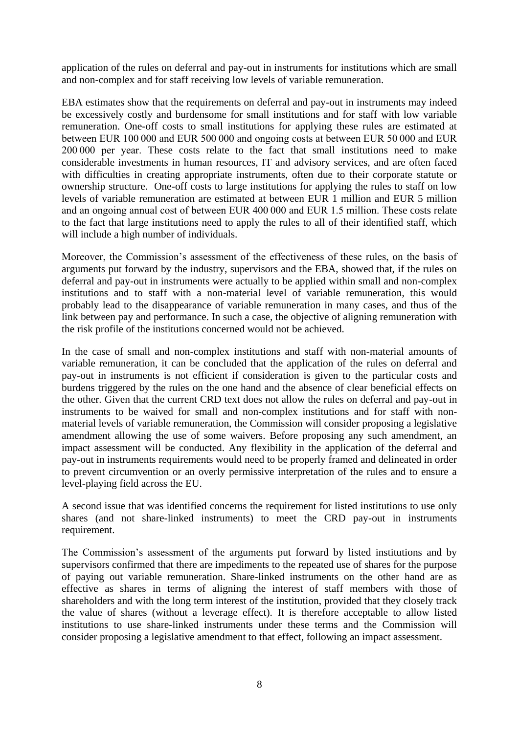application of the rules on deferral and pay-out in instruments for institutions which are small and non-complex and for staff receiving low levels of variable remuneration.

EBA estimates show that the requirements on deferral and pay-out in instruments may indeed be excessively costly and burdensome for small institutions and for staff with low variable remuneration. One-off costs to small institutions for applying these rules are estimated at between EUR 100 000 and EUR 500 000 and ongoing costs at between EUR 50 000 and EUR 200 000 per year. These costs relate to the fact that small institutions need to make considerable investments in human resources, IT and advisory services, and are often faced with difficulties in creating appropriate instruments, often due to their corporate statute or ownership structure. One-off costs to large institutions for applying the rules to staff on low levels of variable remuneration are estimated at between EUR 1 million and EUR 5 million and an ongoing annual cost of between EUR 400 000 and EUR 1.5 million. These costs relate to the fact that large institutions need to apply the rules to all of their identified staff, which will include a high number of individuals.

Moreover, the Commission's assessment of the effectiveness of these rules, on the basis of arguments put forward by the industry, supervisors and the EBA, showed that, if the rules on deferral and pay-out in instruments were actually to be applied within small and non-complex institutions and to staff with a non-material level of variable remuneration, this would probably lead to the disappearance of variable remuneration in many cases, and thus of the link between pay and performance. In such a case, the objective of aligning remuneration with the risk profile of the institutions concerned would not be achieved.

In the case of small and non-complex institutions and staff with non-material amounts of variable remuneration, it can be concluded that the application of the rules on deferral and pay-out in instruments is not efficient if consideration is given to the particular costs and burdens triggered by the rules on the one hand and the absence of clear beneficial effects on the other. Given that the current CRD text does not allow the rules on deferral and pay-out in instruments to be waived for small and non-complex institutions and for staff with nonmaterial levels of variable remuneration, the Commission will consider proposing a legislative amendment allowing the use of some waivers. Before proposing any such amendment, an impact assessment will be conducted. Any flexibility in the application of the deferral and pay-out in instruments requirements would need to be properly framed and delineated in order to prevent circumvention or an overly permissive interpretation of the rules and to ensure a level-playing field across the EU.

A second issue that was identified concerns the requirement for listed institutions to use only shares (and not share-linked instruments) to meet the CRD pay-out in instruments requirement.

The Commission's assessment of the arguments put forward by listed institutions and by supervisors confirmed that there are impediments to the repeated use of shares for the purpose of paying out variable remuneration. Share-linked instruments on the other hand are as effective as shares in terms of aligning the interest of staff members with those of shareholders and with the long term interest of the institution, provided that they closely track the value of shares (without a leverage effect). It is therefore acceptable to allow listed institutions to use share-linked instruments under these terms and the Commission will consider proposing a legislative amendment to that effect, following an impact assessment.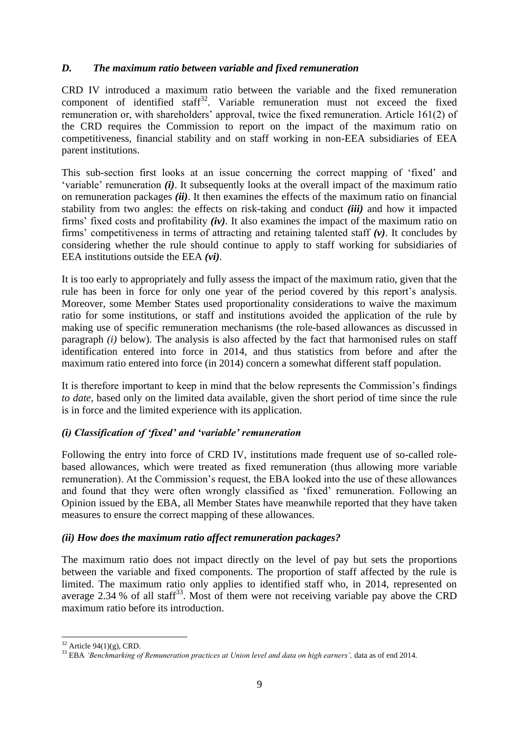## *D. The maximum ratio between variable and fixed remuneration*

CRD IV introduced a maximum ratio between the variable and the fixed remuneration component of identified staff $32$ . Variable remuneration must not exceed the fixed remuneration or, with shareholders' approval, twice the fixed remuneration. Article 161(2) of the CRD requires the Commission to report on the impact of the maximum ratio on competitiveness, financial stability and on staff working in non-EEA subsidiaries of EEA parent institutions.

This sub-section first looks at an issue concerning the correct mapping of 'fixed' and 'variable' remuneration *(i)*. It subsequently looks at the overall impact of the maximum ratio on remuneration packages *(ii)*. It then examines the effects of the maximum ratio on financial stability from two angles: the effects on risk-taking and conduct *(iii)* and how it impacted firms' fixed costs and profitability *(iv)*. It also examines the impact of the maximum ratio on firms' competitiveness in terms of attracting and retaining talented staff *(v)*. It concludes by considering whether the rule should continue to apply to staff working for subsidiaries of EEA institutions outside the EEA *(vi)*.

It is too early to appropriately and fully assess the impact of the maximum ratio, given that the rule has been in force for only one year of the period covered by this report's analysis. Moreover, some Member States used proportionality considerations to waive the maximum ratio for some institutions, or staff and institutions avoided the application of the rule by making use of specific remuneration mechanisms (the role-based allowances as discussed in paragraph *(i)* below). The analysis is also affected by the fact that harmonised rules on staff identification entered into force in 2014, and thus statistics from before and after the maximum ratio entered into force (in 2014) concern a somewhat different staff population.

It is therefore important to keep in mind that the below represents the Commission's findings *to date,* based only on the limited data available, given the short period of time since the rule is in force and the limited experience with its application.

#### *(i) Classification of 'fixed' and 'variable' remuneration*

Following the entry into force of CRD IV, institutions made frequent use of so-called rolebased allowances, which were treated as fixed remuneration (thus allowing more variable remuneration). At the Commission's request, the EBA looked into the use of these allowances and found that they were often wrongly classified as 'fixed' remuneration. Following an Opinion issued by the EBA, all Member States have meanwhile reported that they have taken measures to ensure the correct mapping of these allowances.

#### *(ii) How does the maximum ratio affect remuneration packages?*

The maximum ratio does not impact directly on the level of pay but sets the proportions between the variable and fixed components. The proportion of staff affected by the rule is limited. The maximum ratio only applies to identified staff who, in 2014, represented on average 2.34 % of all staff<sup>33</sup>. Most of them were not receiving variable pay above the CRD maximum ratio before its introduction.

**<sup>.</sup>**  $32$  Article 94(1)(g), CRD.

<sup>33</sup> EBA *'Benchmarking of Remuneration practices at Union level and data on high earners',* data as of end 2014.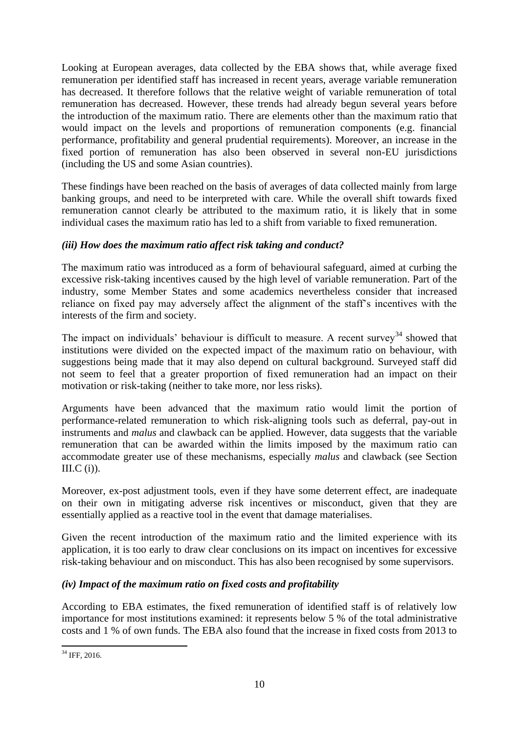Looking at European averages, data collected by the EBA shows that, while average fixed remuneration per identified staff has increased in recent years, average variable remuneration has decreased. It therefore follows that the relative weight of variable remuneration of total remuneration has decreased. However, these trends had already begun several years before the introduction of the maximum ratio. There are elements other than the maximum ratio that would impact on the levels and proportions of remuneration components (e.g. financial performance, profitability and general prudential requirements). Moreover, an increase in the fixed portion of remuneration has also been observed in several non-EU jurisdictions (including the US and some Asian countries).

These findings have been reached on the basis of averages of data collected mainly from large banking groups, and need to be interpreted with care. While the overall shift towards fixed remuneration cannot clearly be attributed to the maximum ratio, it is likely that in some individual cases the maximum ratio has led to a shift from variable to fixed remuneration.

## *(iii) How does the maximum ratio affect risk taking and conduct?*

The maximum ratio was introduced as a form of behavioural safeguard, aimed at curbing the excessive risk-taking incentives caused by the high level of variable remuneration. Part of the industry, some Member States and some academics nevertheless consider that increased reliance on fixed pay may adversely affect the alignment of the staff's incentives with the interests of the firm and society.

The impact on individuals' behaviour is difficult to measure. A recent survey<sup>34</sup> showed that institutions were divided on the expected impact of the maximum ratio on behaviour, with suggestions being made that it may also depend on cultural background. Surveyed staff did not seem to feel that a greater proportion of fixed remuneration had an impact on their motivation or risk-taking (neither to take more, nor less risks).

Arguments have been advanced that the maximum ratio would limit the portion of performance-related remuneration to which risk-aligning tools such as deferral, pay-out in instruments and *malus* and clawback can be applied. However, data suggests that the variable remuneration that can be awarded within the limits imposed by the maximum ratio can accommodate greater use of these mechanisms, especially *malus* and clawback (see Section III. $C$  (i)).

Moreover, ex-post adjustment tools, even if they have some deterrent effect, are inadequate on their own in mitigating adverse risk incentives or misconduct, given that they are essentially applied as a reactive tool in the event that damage materialises.

Given the recent introduction of the maximum ratio and the limited experience with its application, it is too early to draw clear conclusions on its impact on incentives for excessive risk-taking behaviour and on misconduct. This has also been recognised by some supervisors.

## *(iv) Impact of the maximum ratio on fixed costs and profitability*

According to EBA estimates, the fixed remuneration of identified staff is of relatively low importance for most institutions examined: it represents below 5 % of the total administrative costs and 1 % of own funds. The EBA also found that the increase in fixed costs from 2013 to

<sup>1</sup> <sup>34</sup> IFF, 2016.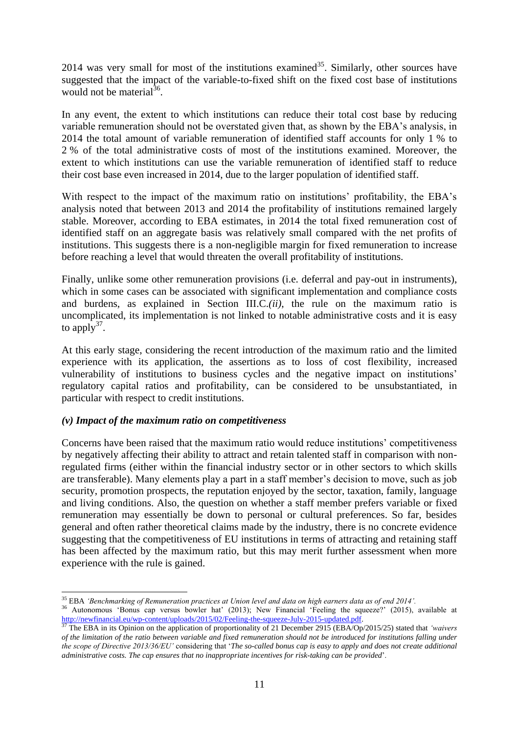2014 was very small for most of the institutions examined<sup>35</sup>. Similarly, other sources have suggested that the impact of the variable-to-fixed shift on the fixed cost base of institutions would not be material $^{36}$ .

In any event, the extent to which institutions can reduce their total cost base by reducing variable remuneration should not be overstated given that, as shown by the EBA's analysis, in 2014 the total amount of variable remuneration of identified staff accounts for only 1 % to 2 % of the total administrative costs of most of the institutions examined. Moreover, the extent to which institutions can use the variable remuneration of identified staff to reduce their cost base even increased in 2014, due to the larger population of identified staff.

With respect to the impact of the maximum ratio on institutions' profitability, the EBA's analysis noted that between 2013 and 2014 the profitability of institutions remained largely stable. Moreover, according to EBA estimates, in 2014 the total fixed remuneration cost of identified staff on an aggregate basis was relatively small compared with the net profits of institutions. This suggests there is a non-negligible margin for fixed remuneration to increase before reaching a level that would threaten the overall profitability of institutions.

Finally, unlike some other remuneration provisions (i.e. deferral and pay-out in instruments), which in some cases can be associated with significant implementation and compliance costs and burdens, as explained in Section III.C.*(ii)*, the rule on the maximum ratio is uncomplicated, its implementation is not linked to notable administrative costs and it is easy to apply $37$ .

At this early stage, considering the recent introduction of the maximum ratio and the limited experience with its application, the assertions as to loss of cost flexibility, increased vulnerability of institutions to business cycles and the negative impact on institutions' regulatory capital ratios and profitability, can be considered to be unsubstantiated, in particular with respect to credit institutions.

#### *(v) Impact of the maximum ratio on competitiveness*

Concerns have been raised that the maximum ratio would reduce institutions' competitiveness by negatively affecting their ability to attract and retain talented staff in comparison with nonregulated firms (either within the financial industry sector or in other sectors to which skills are transferable). Many elements play a part in a staff member's decision to move, such as job security, promotion prospects, the reputation enjoyed by the sector, taxation, family, language and living conditions. Also, the question on whether a staff member prefers variable or fixed remuneration may essentially be down to personal or cultural preferences. So far, besides general and often rather theoretical claims made by the industry, there is no concrete evidence suggesting that the competitiveness of EU institutions in terms of attracting and retaining staff has been affected by the maximum ratio, but this may merit further assessment when more experience with the rule is gained.

**<sup>.</sup>** <sup>35</sup> EBA *'Benchmarking of Remuneration practices at Union level and data on high earners data as of end 2014'.*

<sup>&</sup>lt;sup>36</sup> Autonomous 'Bonus cap versus bowler hat' (2013); New Financial 'Feeling the squeeze?' (2015), available at [http://newfinancial.eu/wp-content/uploads/2015/02/Feeling-the-squeeze-July-2015-updated.pdf.](http://newfinancial.eu/wp-content/uploads/2015/02/Feeling-the-squeeze-July-2015-updated.pdf)

<sup>37</sup> The EBA in its Opinion on the application of proportionality of 21 December 2915 (EBA/Op/2015/25) stated that *'waivers of the limitation of the ratio between variable and fixed remuneration should not be introduced for institutions falling under the scope of Directive 2013/36/EU'* considering that '*The so-called bonus cap is easy to apply and does not create additional administrative costs. The cap ensures that no inappropriate incentives for risk-taking can be provided*'.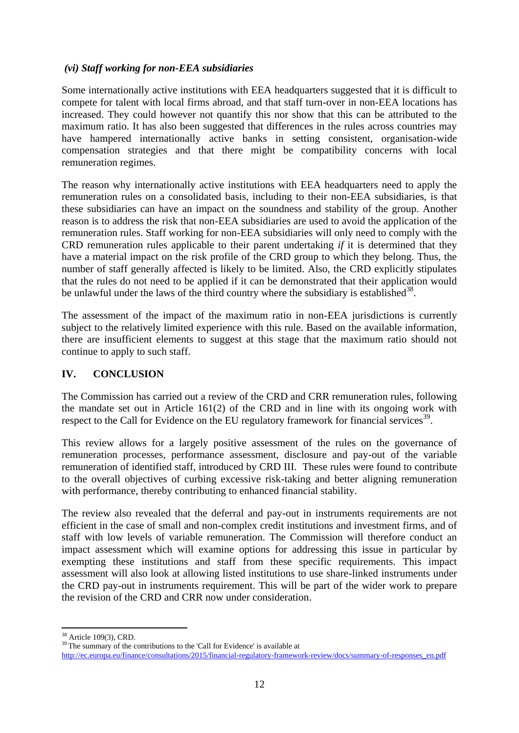### *(vi) Staff working for non-EEA subsidiaries*

Some internationally active institutions with EEA headquarters suggested that it is difficult to compete for talent with local firms abroad, and that staff turn-over in non-EEA locations has increased. They could however not quantify this nor show that this can be attributed to the maximum ratio. It has also been suggested that differences in the rules across countries may have hampered internationally active banks in setting consistent, organisation-wide compensation strategies and that there might be compatibility concerns with local remuneration regimes.

The reason why internationally active institutions with EEA headquarters need to apply the remuneration rules on a consolidated basis, including to their non-EEA subsidiaries, is that these subsidiaries can have an impact on the soundness and stability of the group. Another reason is to address the risk that non-EEA subsidiaries are used to avoid the application of the remuneration rules. Staff working for non-EEA subsidiaries will only need to comply with the CRD remuneration rules applicable to their parent undertaking *if* it is determined that they have a material impact on the risk profile of the CRD group to which they belong. Thus, the number of staff generally affected is likely to be limited. Also, the CRD explicitly stipulates that the rules do not need to be applied if it can be demonstrated that their application would be unlawful under the laws of the third country where the subsidiary is established<sup>38</sup>.

The assessment of the impact of the maximum ratio in non-EEA jurisdictions is currently subject to the relatively limited experience with this rule. Based on the available information, there are insufficient elements to suggest at this stage that the maximum ratio should not continue to apply to such staff.

#### **IV. CONCLUSION**

The Commission has carried out a review of the CRD and CRR remuneration rules, following the mandate set out in Article 161(2) of the CRD and in line with its ongoing work with respect to the Call for Evidence on the EU regulatory framework for financial services<sup>39</sup>.

This review allows for a largely positive assessment of the rules on the governance of remuneration processes, performance assessment, disclosure and pay-out of the variable remuneration of identified staff, introduced by CRD III. These rules were found to contribute to the overall objectives of curbing excessive risk-taking and better aligning remuneration with performance, thereby contributing to enhanced financial stability.

The review also revealed that the deferral and pay-out in instruments requirements are not efficient in the case of small and non-complex credit institutions and investment firms, and of staff with low levels of variable remuneration. The Commission will therefore conduct an impact assessment which will examine options for addressing this issue in particular by exempting these institutions and staff from these specific requirements. This impact assessment will also look at allowing listed institutions to use share-linked instruments under the CRD pay-out in instruments requirement. This will be part of the wider work to prepare the revision of the CRD and CRR now under consideration.

**<sup>.</sup>** <sup>38</sup> Article 109(3), CRD.

<sup>&</sup>lt;sup>39</sup> The summary of the contributions to the 'Call for Evidence' is available at [http://ec.europa.eu/finance/consultations/2015/financial-regulatory-framework-review/docs/summary-of-responses\\_en.pdf](http://ec.europa.eu/finance/consultations/2015/financial-regulatory-framework-review/docs/summary-of-responses_en.pdf)